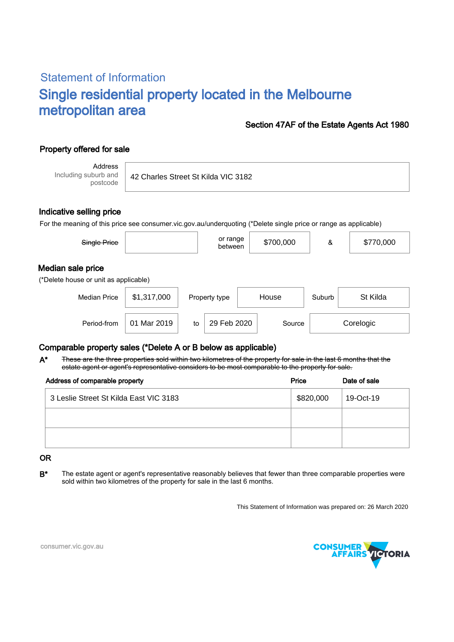# Statement of Information Single residential property located in the Melbourne metropolitan area

#### Section 47AF of the Estate Agents Act 1980

## Property offered for sale

Address Including suburb and postcode

42 Charles Street St Kilda VIC 3182

#### Indicative selling price

For the meaning of this price see consumer.vic.gov.au/underquoting (\*Delete single price or range as applicable)

| Single Price                                               |             |    | or range<br>between    |  | \$700,000 | &        | \$770,000 |
|------------------------------------------------------------|-------------|----|------------------------|--|-----------|----------|-----------|
| Median sale price<br>(*Delete house or unit as applicable) |             |    |                        |  |           |          |           |
| <b>Median Price</b>                                        | \$1,317,000 |    | House<br>Property type |  | Suburb    | St Kilda |           |
| Period-from                                                | 01 Mar 2019 | to | 29 Feb 2020            |  | Source    |          | Corelogic |

### Comparable property sales (\*Delete A or B below as applicable)

These are the three properties sold within two kilometres of the property for sale in the last 6 months that the estate agent or agent's representative considers to be most comparable to the property for sale. A\*

| Address of comparable property         | Price     | Date of sale |  |
|----------------------------------------|-----------|--------------|--|
| 3 Leslie Street St Kilda East VIC 3183 | \$820,000 | 19-Oct-19    |  |
|                                        |           |              |  |
|                                        |           |              |  |

#### OR

B<sup>\*</sup> The estate agent or agent's representative reasonably believes that fewer than three comparable properties were sold within two kilometres of the property for sale in the last 6 months.

This Statement of Information was prepared on: 26 March 2020



consumer.vic.gov.au